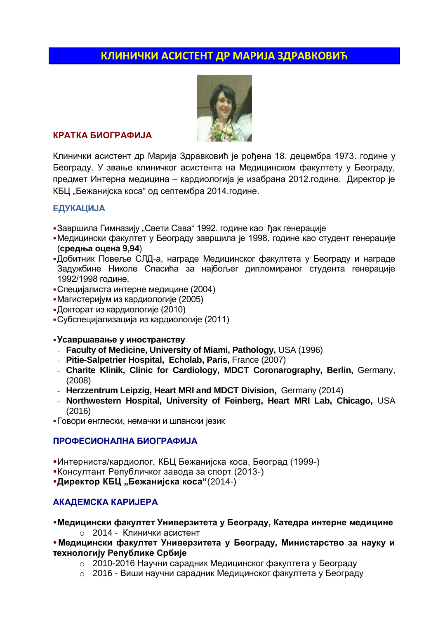# **КЛИНИЧКИ АСИСТЕНТ ДР МАРИЈА ЗДРАВКОВИЋ**



## **КРАТКА БИОГРАФИЈА**

Клинички асистент др Марија Здравковић је рођена 18. децембра 1973. године у Београду. У звање клиничког асистента на Медицинском факултету у Београду, предмет Интерна медицина – кардиологија је изабрана 2012.године. Директор је КБЦ "Бежанијска коса" од септембра 2014.године.

## **EДУКАЦИЈА**

- •Завршила Гимназију "Свети Сава" 1992. године као ђак генерације
- Медицински факултет у Београду завршила је 1998. године као студент генерације (**средња оцена 9,94**)
- Добитник Повеље СЛД-а, награде Медицинског факултета у Београду и награде Задужбине Николе Спасића за најбољег дипломираног студента генерације 1992/1998 године.
- Специјалиста интерне медицине (2004)
- Магистеријум из кардиологије (2005)
- Докторат из кардиологије (2010)
- Субспецијализација из кардиологије (2011)

## **Усавршавање у иностранству**

- **Faculty of Medicine, University of Miami, Pathology,** USA (1996)
- **Pitie-Salpetrier Hospital, Echolab, Paris,** France (2007)
- **Charite Klinik, Clinic for Cardiology, MDCT Coronarography, Berlin,** Germany, (2008)
- **Herzzentrum Leipzig, Heart MRI and MDCT Division,** Germany (2014)
- **Northwestern Hospital, University of Feinberg, Heart MRI Lab, Chicago,** USA (2016)
- Говори енглески, немачки и шпански језик

## **ПРОФЕСИОНАЛНА БИОГРАФИЈА**

Интерниста/кардиолог, КБЦ Бежанијска коса, Београд (1999-)

Консултант Републичког завода за спорт (2013-)

**-Директор КБЦ "Бежанијска коса"**(2014-)

## **АКАДЕМСКА КАРИЈЕРА**

**Медицински факултет Универзитета у Београду, Катедра интерне медицине** o 2014 - Клинички асистент

 **Медицински факултет Универзитета у Београду, Министарство за науку и технологију Републике Србије**

- o 2010-2016 Научни сарадник Медицинског факултета у Београду
- o 2016 Виши научни сарадник Медицинског факултета у Београду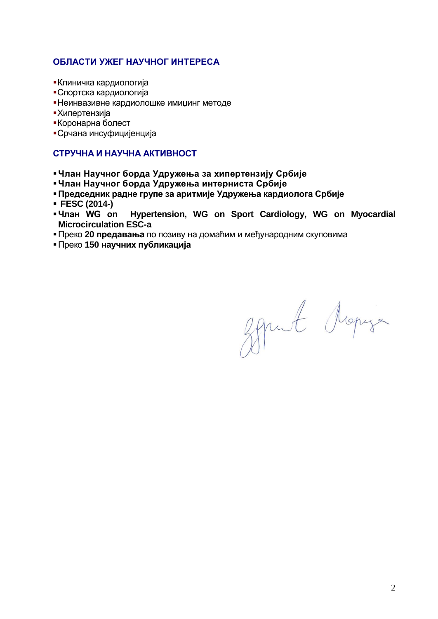## **ОБЛАСТИ УЖЕГ НАУЧНОГ ИНТЕРЕСА**

- Клиничка кардиологија
- Спортска кардиологија
- Неинвазивне кардиолошке имиџинг методе
- Хипертензија
- Коронарна болест
- Срчана инсуфицијенција

## **СТРУЧНА И НАУЧНА АКТИВНОСТ**

- **Члан Научног борда Удружења за хипертензију Србије**
- **Члан Научног борда Удружења интерниста Србије**
- **Председник радне групе за аритмије Удружења кардиолога Србије**
- 
- **FESC (2014-)** Hypertension, WG on Sport Cardiology, WG on Myocardial **Microcirculation ESC-a**
- Преко **20 предавања** по позиву на домаћим и међународним скуповима
- Преко **150 научних публикација**

Sprut Mapys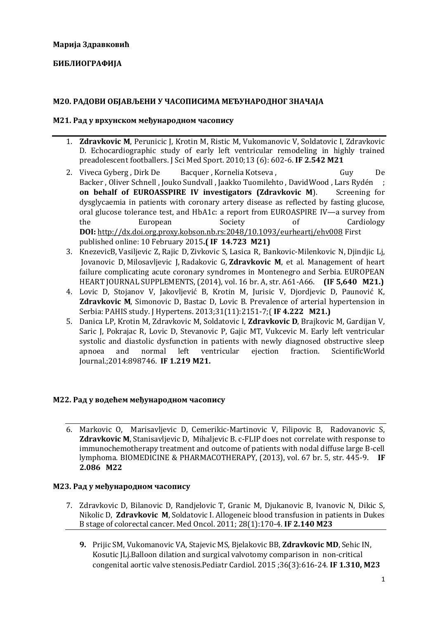## **БИБЛИОГРАФИЈА**

### **М20. РАДОВИ ОБЈАВЉЕНИ У ЧАСОПИСИМА МЕЂУНАРОДНОГ ЗНАЧАЈА**

#### **М21. Рад у врхунском међународном часопису**

- 1. **Zdravkovic M**, Perunicic J, Krotin M, Ristic M, Vukomanovic V, Soldatovic I, Zdravkovic D. Echocardiographic study of early left ventricular remodeling in highly trained preadolescent footballers. J Sci Med Sport. 2010;13 (6): 602-6. **IF 2.542 M21**
- 2. Viveca Gyberg, Dirk De Bacquer, Kornelia Kotseva, Guy De Backer , Oliver Schnell , Jouko Sundvall , Jaakko Tuomilehto , DavidWood , Lars Rydén ; **on behalf of EUROASSPIRE IV investigators (Zdravkovic M). Screening for** dysglycaemia in patients with coronary artery disease as reflected by fasting glucose, oral glucose tolerance test, and HbA1c: a report from EUROASPIRE IV—a survey from the European Society of Cardiology **DOI:** <http://dx.doi.org.proxy.kobson.nb.rs:2048/10.1093/eurheartj/ehv008> First published online: 10 February 2015**.( IF 14.723 M21)**
- 3. [KnezevicB,](http://www.kobson.nb.rs.proxy.kobson.nb.rs:2048/nauka_u_srbiji.132.html?autor=Knezevic%20Bozidarka) [Vasiljevic](http://www.kobson.nb.rs.proxy.kobson.nb.rs:2048/nauka_u_srbiji.132.html?autor=Knezevic%20Bozidarka) Z, [Rajic](http://www.kobson.nb.rs.proxy.kobson.nb.rs:2048/nauka_u_srbiji.132.html?autor=Rajic%20Dubravka) D, [Zivkovic](http://www.kobson.nb.rs.proxy.kobson.nb.rs:2048/nauka_u_srbiji.132.html?autor=Rajic%20Dubravka) S, [Lasica](http://www.kobson.nb.rs.proxy.kobson.nb.rs:2048/nauka_u_srbiji.132.html?autor=Lasica%20Ratko%20M) R, [Bankovic-Milenkovic](http://www.kobson.nb.rs.proxy.kobson.nb.rs:2048/nauka_u_srbiji.132.html?autor=Bankovic-Milenkovic%20Nevena) N, [Djindjic](http://www.kobson.nb.rs.proxy.kobson.nb.rs:2048/nauka_u_srbiji.132.html?autor=Bankovic-Milenkovic%20Nevena) Lj, [Jovanovic](http://www.kobson.nb.rs.proxy.kobson.nb.rs:2048/nauka_u_srbiji.132.html?autor=Djindjic%20Ljubica) D, [Milosavljevic](http://www.kobson.nb.rs.proxy.kobson.nb.rs:2048/nauka_u_srbiji.132.html?autor=Milosavljevic%20Jelica) J, [Radakovic](http://www.kobson.nb.rs.proxy.kobson.nb.rs:2048/nauka_u_srbiji.132.html?autor=Milosavljevic%20Jelica) G, **Zdravkovic M**, et al. Management of heart failure complicating acute coronary syndromes in Montenegro and Serbia. EUROPEAN HEART JOURNAL SUPPLEMENTS, (2014), vol. 16 br. A, str. A61-A66. **(IF 5,640 M21.)**
- 4. Lovic D, Stojanov V, Jakovljević B, Krotin M, Jurisic V, Djordjevic D, Paunović K, **Zdravkovic M**, Simonovic D, Bastac D, Lovic B. Prevalence of arterial hypertension in Serbia: PAHIS study. J Hypertens. 2013;31(11):2151-7;( **IF 4.222 M21.)**
- 5. Danica LP, Krotin M, Zdravkovic M, Soldatovic I, **Zdravkovic D**, Brajkovic M, Gardijan V, Saric J, Pokrajac R, Lovic D, Stevanovic P, Gajic MT, Vukcevic M. Early left ventricular systolic and diastolic dysfunction in patients with newly diagnosed obstructive sleep apnoea and normal left ventricular ejection fraction. ScientificWorld Journal.;2014:898746. **IF 1.219 M21.**

#### **М22. Рад у водећем међународном часопису**

6. Markovic O, Marisavljevic D, Cemerikic-Martinovic V, Filipovic B, Radovanovic S, **Zdravkovic M**, Stanisavljevic D, Mihaljevic B. c-FLIP does not correlate with response to immunochemotherapy treatment and outcome of patients with nodal diffuse large B-cell lymphoma. BIOMEDICINE & PHARMACOTHERAPY, (2013), vol. 67 br. 5, str. 445-9. **IF 2.086 M22**

#### **М23. Рад у међународном часопису**

- 7. Zdravkovic D, Bilanovic D, Randjelovic T, Granic M, Djukanovic B, Ivanovic N, Dikic S, Nikolic D, **Zdravkovic M**, Soldatovic I. [Allogeneic blood transfusion in patients in Dukes](http://www.ncbi.nlm.nih.gov/pubmed/20151229)  [B stage of colorectal cancer.](http://www.ncbi.nlm.nih.gov/pubmed/20151229) Med Oncol. 2011; 28(1):170-4. **IF 2.140 M23**
	- **9.** Prijic SM, Vukomanovic VA, Stajevic MS, Bjelakovic BB, **Zdravkovic MD**, Sehic IN, Kosutic JLj[.Balloon dilation and surgical valvotomy comparison in non-critical](http://www.ncbi.nlm.nih.gov/pubmed/25388630)  [congenital aortic valve stenosis.P](http://www.ncbi.nlm.nih.gov/pubmed/25388630)ediatr Cardiol. 2015 ;36(3):616-24. **IF 1.310, M23**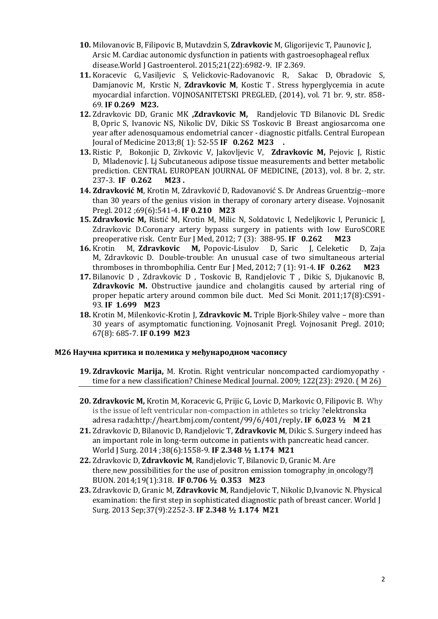- **10.** Milovanovic B, Filipovic B, Mutavdzin S, **Zdravkovic** M, Gligorijevic T, Paunovic J, Arsic M[. Cardiac autonomic dysfunction in patients with gastroesophageal reflux](http://www.ncbi.nlm.nih.gov/pubmed/26078576)  [disease.W](http://www.ncbi.nlm.nih.gov/pubmed/26078576)orld J Gastroenterol. 2015;21(22):6982-9. IF 2.369.
- **11.** Koracevic G, Vasiljevic S, Velickovic-Radovanovic R, Sakac D, Obradovic S, Damjanovic M, Krstic N, **Zdravkovic M**, Kostic T . Stress hyperglycemia in acute myocardial infarction. VOJNOSANITETSKI PREGLED, (2014), vol. 71 br. 9, str. 858- 69. **IF 0.269 M23.**
- **12.** [Zdravkovic](http://kobson.nb.rs/nauka_u_srbiji.132.html?autor=Zdravkovic%20Darko%20D) DD, [Granic](http://kobson.nb.rs/nauka_u_srbiji.132.html?autor=Granic%20Miroslav%20K) MK **[,Z](http://kobson.nb.rs/nauka_u_srbiji.132.html?autor=Zdravkovic%20Marija)dravkovic M,** [Randjelovic](http://kobson.nb.rs/nauka_u_srbiji.132.html?autor=Randjelovic%20Tomislav%20D) TD [Bilanovic](http://kobson.nb.rs/nauka_u_srbiji.132.html?autor=Bilanovic%20Dragoljub%20L) DL [Sredic](http://kobson.nb.rs/nauka_u_srbiji.132.html?autor=Sredic%20Biljana) [B,](http://kobson.nb.rs/nauka_u_srbiji.132.html?autor=Sredic%20Biljana) [Opric](http://kobson.nb.rs/nauka_u_srbiji.132.html?autor=Opric%20Svetlana) S, [Ivanovic](http://kobson.nb.rs/nauka_u_srbiji.132.html?autor=Ivanovic%20Nebojsa%20S) NS, [Nikolic](http://kobson.nb.rs/nauka_u_srbiji.132.html?autor=Nikolic%20Dejan%20V) DV, [Dikic](http://kobson.nb.rs/nauka_u_srbiji.132.html?autor=Djikic%20Srdjan%20S) SS [Toskovic](http://kobson.nb.rs/nauka_u_srbiji.132.html?autor=Toskovic%20Borislav) B Breast angiosarcoma one year after adenosquamous endometrial cancer - diagnostic pitfalls. Central European Joural of Medicine 2013;8( 1): 52-55 **IF 0.262 M23 .**
- **13.** Ristic P, Bokonjic D, Zivkovic V, Jakovljevic V, **Zdravkovic M,** Pejovic J, Ristic D, Mladenovic J. Lj Subcutaneous adipose tissue measurements and better metabolic prediction. CENTRAL EUROPEAN JOURNAL OF MEDICINE, (2013), vol. 8 br. 2, str. 237-3. **IF 0.262 M23 .**
- **14. Zdravković M**, Krotin M, Zdravković D, Radovanović S. Dr Andreas Gruentzig--more than 30 years of the genius vision in therapy of coronary artery disease. Vojnosanit Pregl. 2012 ;69(6):541-4. **IF 0.210 M23**
- **15. Zdravkovic M,** Ristić M, Krotin M, Milic N, Soldatovic I, Nedeljkovic I, Perunicic J, Zdravkovic D.Coronary artery bypass surgery in patients with low EuroSCORE preoperative risk. Centr Eur J Med, [2012;](http://www.springerlink.com.proxy.kobson.nb.rs:2048/content/1895-1058/7/3/) 7 (3): 388-95. **IF 0.262 M23**
- **16.** [Krotin](http://www.kobson.nb.rs.proxy.kobson.nb.rs:2048/nauka_u_srbiji.132.html?autor=Krotin%20Mirjana%20K) M, **[Zdravkovic](http://www.kobson.nb.rs.proxy.kobson.nb.rs:2048/nauka_u_srbiji.132.html?autor=Zdravkovic%20Marija) M,** [Popovic-Lisulov](http://www.kobson.nb.rs.proxy.kobson.nb.rs:2048/nauka_u_srbiji.132.html?autor=Popovic-Lisulov%20Danica) D, [Saric](http://www.kobson.nb.rs.proxy.kobson.nb.rs:2048/nauka_u_srbiji.132.html?autor=Saric%20Jelena) J, [Celeketic](http://www.kobson.nb.rs.proxy.kobson.nb.rs:2048/nauka_u_srbiji.132.html?autor=Celeketic%20Dusica%20C) D, [Zaja](http://www.kobson.nb.rs.proxy.kobson.nb.rs:2048/nauka_u_srbiji.132.html?autor=Zaja%20Mirna) [M,](http://www.kobson.nb.rs.proxy.kobson.nb.rs:2048/nauka_u_srbiji.132.html?autor=Zaja%20Mirna) [Zdravkovic](http://www.kobson.nb.rs.proxy.kobson.nb.rs:2048/nauka_u_srbiji.132.html?autor=Zdravkovic%20Darko) D. Double-trouble: An unusual case of two simultaneous arterial thromboses in thrombophilia. Centr Eur J Med, [2012;](http://www.springerlink.com.proxy.kobson.nb.rs:2048/content/1895-1058/7/3/) 7 (1): 91-4. **IF 0.262 M23**
- **17.** Bilanovic D , Zdravkovic D , Toskovic B, Randjelovic T , Dikic S, Djukanovic B, **Zdravkovic M.** Obstructive jaundice and cholangitis caused by arterial ring of proper hepatic artery around common bile duct. Med Sci Monit. 2011;17(8):CS91- 93. **IF 1.699 M23**
- **18.** Krotin M, Milenkovic-Krotin J, **Zdravkovic M.** Triple Bjork-Shiley valve more than 30 years of asymptomatic functioning. Vojnosanit Pregl. Vojnosanit Pregl. 2010; 67(8): 685-7. **IF 0.199 M23**

## **M26 Научна критика и полемика у међународном часопису**

- **19. Zdravkovic Marija,** M. Krotin. Right ventricular noncompacted cardiomyopathy time for a new classification? Chinese Medical Journal. 2009; 122(23): 2920. ( M 26)
- **20. Zdravkovic M,** Krotin M, Koracevic G, Prijic G, Lovic D, Markovic O, Filipovic B. Why is the issue of left ventricular non-compaction in athletes so tricky ?**е**lektronska adresa rada:http://heart.bmj.com/content/99/6/401/reply**. IF 6,023 ½ M 21**
- **21.** Zdravkovic D, Bilanovic D, Randjelovic T, **Zdravkovic M**, Dikic S. Surgery indeed has an important role in long-term outcome in patients with pancreatic head cancer. World J Surg. 2014 ;38(6):1558-9. **IF 2.348 ½ 1.174 M21**
- **22.** Zdravkovic D, **Zdravkovic M**, Randjelovic T, Bilanovic D, Granic M. Are there new possibilities for the use of positron emission tomography in oncology? BUON. 2014;19(1):318. **IF 0.706 ½ 0.353 M23**
- **23.** Zdravkovic D, Granic M, **Zdravkovic M**, Randjelovic T, Nikolic D,Ivanovic N. Physical examination: the first step in sophisticated diagnostic path of breast cancer. World J Surg. 2013 Sep;37(9):2252-3. **IF 2.348 ½ 1.174 M21**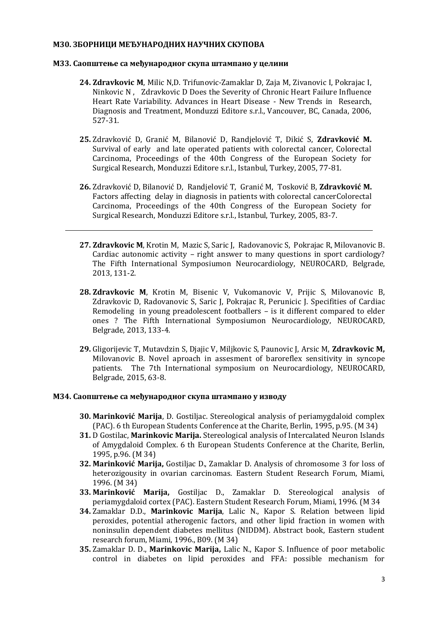#### **М30. ЗБОРНИЦИ МЕЂУНАРОДНИХ НАУЧНИХ СКУПОВА**

#### **М33. Саопштење са међународног скупа штампано у целини**

- **24. Zdravkovic M**, Milic N,D. Trifunovic-Zamaklar D, Zaja M, Zivanovic I, Pokrajac I, Ninkovic N , Zdravkovic D Does the Severity of Chronic Heart Failure Influence Heart Rate Variability. Advances in Heart Disease - New Trends in Research, Diagnosis and Treatment, Monduzzi Editore s.r.l., Vancouver, BC, Canada, 2006, 527-31.
- **25.** Zdravković D, Granić M, Bilanović D, Randjelović T, Dikić S, **Zdravković M.** Survival of early and late operated patients with colorectal cancer, Colorectal Carcinoma, Proceedings of the 40th Congress of the European Society for Surgical Research, Monduzzi Editore s.r.l., Istanbul, Turkey, 2005, 77-81.
- **26.** Zdravković D, Bilanović D, Randjelović T, Granić M, Tosković B, **Zdravković M.** Factors affecting delay in diagnosis in patients with colorectal cancerColorectal Carcinoma, Proceedings of the 40th Congress of the European Society for Surgical Research, Monduzzi Editore s.r.l., Istanbul, Turkey, 2005, 83-7.
- **27. Zdravkovic M**, Krotin M, Mazic S, Saric J, Radovanovic S, Pokrajac R, Milovanovic B. Cardiac autonomic activity – right answer to many questions in sport cardiology? The Fifth International Symposiumon Neurocardiology, NEUROCARD, Belgrade, 2013, 131-2.
- **28. Zdravkovic M**, Krotin M, Bisenic V, Vukomanovic V, Prijic S, Milovanovic B, Zdravkovic D, Radovanovic S, Saric J, Pokrajac R, Perunicic J. Specifities of Cardiac Remodeling in young preadolescent footballers – is it different compared to elder ones ? The Fifth International Symposiumon Neurocardiology, NEUROCARD, Belgrade, 2013, 133-4.
- **29.** Gligorijevic T, Mutavdzin S, Djajic V, Miljkovic S, Paunovic J, Arsic M, **Zdravkovic M,**  Milovanovic B. Novel aproach in assesment of baroreflex sensitivity in syncope patients. The 7th International symposium on Neurocardiology, NEUROCARD, Belgrade, 2015, 63-8.

#### **М34. Саопштење са међународног скупа штампано у изводу**

- **30. Marinković Marija**, D. Gostiljac. Stereological analysis of periamygdaloid complex (PAC). 6 th European Students Conference at the Charite, Berlin, 1995, p.95. (M 34)
- **31.** D Gostilac, **Marinkovic Marija.** Stereological analysis of Intercalated Neuron Islands of Amygdaloid Complex. 6 th European Students Conference at the Charite, Berlin, 1995, p.96. (M 34)
- **32. Marinković Marija,** Gostiljac D., Zamaklar D. Analysis of chromosome 3 for loss of heterozigousity in ovarian carcinomas. Eastern Student Research Forum, Miami, 1996. (M 34)
- **33. Marinković Marija,** Gostiljac D., Zamaklar D. Stereological analysis of periamygdaloid cortex (PAC). Eastern Student Research Forum, Miami, 1996. (M 34
- **34.** Zamaklar D.D., **Marinkovic Marija**, Lalic N., Kapor S. Relation between lipid peroxides, potential atherogenic factors, and other lipid fraction in women with noninsulin dependent diabetes mellitus (NIDDM). Abstract book, Eastern student research forum, Miami, 1996., B09. (M 34)
- **35.** Zamaklar D. D., **Marinkovic Marija,** Lalic N., Kapor S. Influence of poor metabolic control in diabetes on lipid peroxides and FFA: possible mechanism for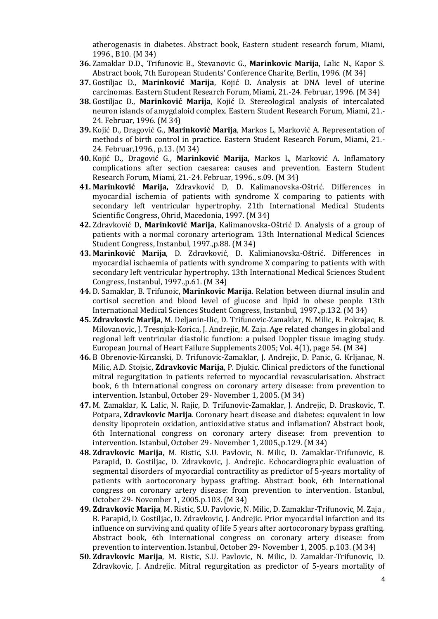atherogenasis in diabetes. Abstract book, Eastern student research forum, Miami, 1996., B10. (M 34)

- **36.** Zamaklar D.D., Trifunovic B., Stevanovic G., **Marinkovic Marija**, Lalic N., Kapor S. Abstract book, 7th European Students' Conference Charite, Berlin, 1996. (M 34)
- **37.** Gostiljac D., **Marinković Marija**, Kojić D. Analysis at DNA level of uterine carcinomas. Eastern Student Research Forum, Miami, 21.-24. Februar, 1996. (M 34)
- **38.** Gostiljac D., **Marinković Marija**, Kojić D. Stereological analysis of intercalated neuron islands of amygdaloid complex. Eastern Student Research Forum, Miami, 21.- 24. Februar, 1996. (M 34)
- **39.** Kojić D., Dragović G., **Marinković Marija**, Markos L, Marković A. Representation of methods of birth control in practice. Eastern Student Research Forum, Miami, 21.- 24. Februar,1996., p.13. (M 34)
- **40.** Kojić D., Dragović G., **Marinković Marija**, Markos L, Marković A. Inflamatory complications after section caesarea: causes and prevention. Eastern Student Research Forum, Miami, 21.-24. Februar, 1996., s.09. (M 34)
- **41. Marinković Marija,** Zdravković D, D. Kalimanovska-Oštrić. Differences in myocardial ischemia of patients with syndrome X comparing to patients with secondary left ventricular hypertrophy. 21th International Medical Students Scientific Congress, Ohrid, Macedonia, 1997. (M 34)
- **42.** Zdravković D, **Marinković Marija**, Kalimanovska-Oštrić D. Analysis of a group of patients with a normal coronary arteriogram. 13th International Medical Sciences Student Congress, Instanbul, 1997.,p.88. (M 34)
- **43. Marinković Marija**, D. Zdravković, D. Kalimianovska-Oštrić. Differences in myocardial ischaemia of patients with syndrome X comparing to patients with with secondary left ventricular hypertrophy. 13th International Medical Sciences Student Congress, Instanbul, 1997.,p.61. (M 34)
- **44.** D. Samaklar, B. Trifunoic, **Marinkovic Marija**. Relation between diurnal insulin and cortisol secretion and blood level of glucose and lipid in obese people. 13th International Medical Sciences Student Congress, Instanbul, 1997.,p.132. (M 34)
- **45. Zdravkovic Marija**, M. Deljanin-Ilic, D. Trifunovic-Zamaklar, N. Milic, R. Pokrajac, B. Milovanovic, J. Tresnjak-Korica, J. Andrejic, M. Zaja. Age related changes in global and regional left ventricular diastolic function: a pulsed Doppler tissue imaging study. European Journal of Heart Failure Supplements 2005; Vol. 4(1), page 54. (M 34)
- **46.** B Obrenovic-Kircanski, D. Trifunovic-Zamaklar, J. Andrejic, D. Panic, G. Krljanac, N. Milic, A.D. Stojsic, **Zdravkovic Marija**, P. Djukic. Clinical predictors of the functional mitral regurgitation in patients referred to myocardial revascularisation. Abstract book, 6 th International congress on coronary artery disease: from prevention to intervention. Istanbul, October 29- November 1, 2005. (M 34)
- **47.** M. Zamaklar, K. Lalic, N. Rajic, D. Trifunovic-Zamaklar, J. Andrejic, D. Draskovic, T. Potpara, **Zdravkovic Marija**. Coronary heart disease and diabetes: equvalent in low density lipoprotein oxidation, antioxidative status and inflamation? Abstract book, 6th International congress on coronary artery disease: from prevention to intervention. Istanbul, October 29- November 1, 2005.,p.129. (M 34)
- **48. Zdravkovic Marija**, M. Ristic, S.U. Pavlovic, N. Milic, D. Zamaklar-Trifunovic, B. Parapid, D. Gostiljac, D. Zdravkovic, J. Andrejic. Echocardiographic evaluation of segmental disorders of myocardial contractility as predictor of 5-years mortality of patients with aortocoronary bypass grafting. Abstract book, 6th International congress on coronary artery disease: from prevention to intervention. Istanbul, October 29- November 1, 2005.p.103. (M 34)
- **49. Zdravkovic Marija**, M. Ristic, S.U. Pavlovic, N. Milic, D. Zamaklar-Trifunovic, M. Zaja , B. Parapid, D. Gostiljac, D. Zdravkovic, J. Andrejic. Prior myocardial infarction and its influence on surviving and quality of life 5 years after aortocoronary bypass grafting. Abstract book, 6th International congress on coronary artery disease: from prevention to intervention. Istanbul, October 29- November 1, 2005. p.103. (M 34)
- **50. Zdravkovic Marija**, M. Ristic, S.U. Pavlovic, N. Milic, D. Zamaklar-Trifunovic, D. Zdravkovic, J. Andrejic. Mitral regurgitation as predictor of 5-years mortality of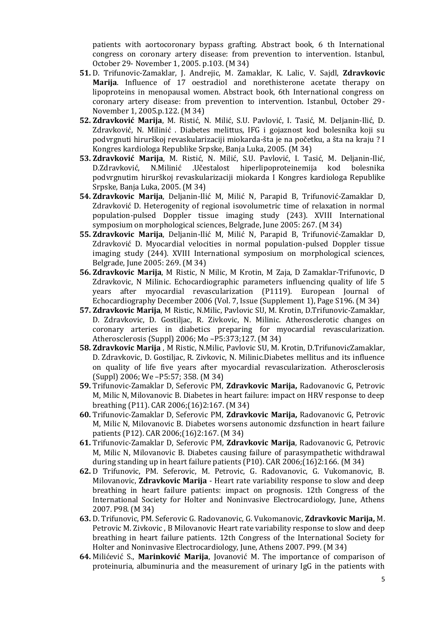patients with aortocoronary bypass grafting. Abstract book, 6 th International congress on coronary artery disease: from prevention to intervention. Istanbul, October 29- November 1, 2005. p.103. (M 34)

- **51.** D. Trifunovic-Zamaklar, J. Andrejic, M. Zamaklar, K. Lalic, V. Sajdl, **Zdravkovic Marija**. Influence of 17 oestradiol and norethisterone acetate therapy on lipoproteins in menopausal women. Abstract book, 6th International congress on coronary artery disease: from prevention to intervention. Istanbul, October 29- November 1, 2005.p.122. (M 34)
- **52. Zdravković Marija**, M. Ristić, N. Milić, S.U. Pavlović, I. Tasić, M. Deljanin-Ilić, D. Zdravković, N. Milinić . Diabetes melittus, IFG i gojaznost kod bolesnika koji su podvrgnuti hirurškoj revaskularizaciji miokarda-šta je na početku, a šta na kraju ? I Kongres kardiologa Republike Srpske, Banja Luka, 2005. (M 34)
- **53. Zdravković Marija**, M. Ristić, N. Milić, S.U. Pavlović, I. Tasić, M. Deljanin-Ilić, D.Zdravković, N.Milinić .Učestalost hiperlipoproteinemija kod bolesnika podvrgnutim hirurškoj revaskularizaciji miokarda I Kongres kardiologa Republike Srpske, Banja Luka, 2005. (M 34)
- **54. Zdravkovic Marija**, Deljanin-Ilić M, Milić N, Parapid B, Trifunović-Zamaklar D, Zdravković D. Heterogenity of regional isovolumetric time of relaxation in normal population-pulsed Doppler tissue imaging study (243). XVIII International symposium on morphological sciences, Belgrade, June 2005: 267. (M 34)
- **55. Zdravkovic Marija**, Deljanin-Ilić M, Milić N, Parapid B, Trifunović-Zamaklar D, Zdravković D. Myocardial velocities in normal population-pulsed Doppler tissue imaging study (244). XVIII International symposium on morphological sciences, Belgrade, June 2005: 269. (M 34)
- **56. Zdravkovic Marija**, M Ristic, N Milic, M Krotin, M Zaja, D Zamaklar-Trifunovic, D Zdravkovic, N Milinic. Echocardiographic parameters influencing quality of life 5 years after myocardial revascularization (P1119). European Journal of Echocardiography December 2006 (Vol. 7, Issue (Supplement 1), Page S196. (M 34)
- **57. Zdravkovic Marija**, M Ristic, N.Milic, Pavlovic SU, M. Krotin, D.Trifunovic-Zamaklar, D. Zdravkovic, D. Gostiljac, R. Zivkovic, N. Milinic. Atherosclerotic changes on coronary arteries in diabetics preparing for myocardial revascularization. Atherosclerosis (Suppl) 2006; Mo –P5:373;127. (M 34)
- **58. Zdravkovic Marija** , M Ristic, N.Milic, Pavlovic SU, M. Krotin, D.TrifunovicZamaklar, D. Zdravkovic, D. Gostiljac, R. Zivkovic, N. Milinic.Diabetes mellitus and its influence on quality of life five years after myocardial revascularization. Atherosclerosis (Suppl) 2006; We –P5:57; 358. (M 34)
- **59.** Trifunovic-Zamaklar D, Seferovic PM, **Zdravkovic Marija,** Radovanovic G, Petrovic M, Milic N, Milovanovic B. Diabetes in heart failure: impact on HRV response to deep breathing (P11). CAR 2006;(16)2:167. (M 34)
- **60.** Trifunovic-Zamaklar D, Seferovic PM, **Zdravkovic Marija,** Radovanovic G, Petrovic M, Milic N, Milovanovic B. Diabetes worsens autonomic dzsfunction in heart failure patients (P12). CAR 2006;(16)2:167. (M 34)
- **61.** Trifunovic-Zamaklar D, Seferovic PM, **Zdravkovic Marija**, Radovanovic G, Petrovic M, Milic N, Milovanovic B. Diabetes causing failure of parasympathetic withdrawal during standing up in heart failure patients (P10). CAR 2006;(16)2:166. (M 34)
- **62.** D Trifunovic, PM. Seferovic, M. Petrovic, G. Radovanovic, G. Vukomanovic, B. Milovanovic, **Zdravkovic Marija** - Heart rate variability response to slow and deep breathing in heart failure patients: impact on prognosis. 12th Congress of the International Society for Holter and Noninvasive Electrocardiology, June, Athens 2007. P98. (M 34)
- **63.** D. Trifunovic, PM. Seferovic G. Radovanovic, G. Vukomanovic, **Zdravkovic Marija,** M. Petrovic M. Zivkovic , B Milovanovic Heart rate variability response to slow and deep breathing in heart failure patients. 12th Congress of the International Society for Holter and Noninvasive Electrocardiology, June, Athens 2007. P99. (M 34)
- **64.** Milićević S., **Marinković Marija**, Jovanović M. The importance of comparison of proteinuria, albuminuria and the measurement of urinary IgG in the patients with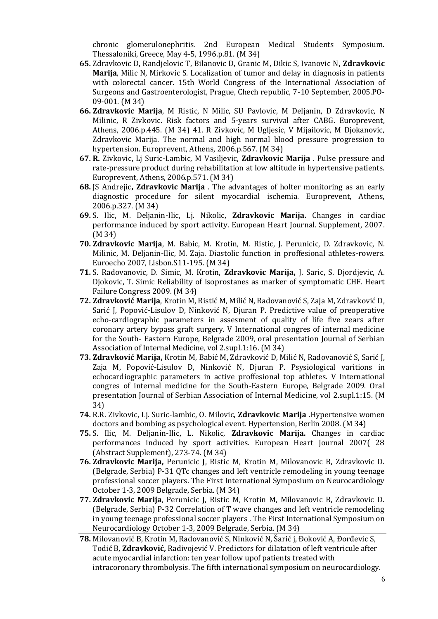chronic glomerulonephritis. 2nd European Medical Students Symposium. Thessaloniki, Greece, May 4-5, 1996.p.81. (M 34)

- **65.** Zdravkovic D, Randjelovic T, Bilanovic D, Granic M, Dikic S, Ivanovic N**, Zdravkovic Marija**, Milic N, Mirkovic S. Localization of tumor and delay in diagnosis in patients with colorectal cancer. 15th World Congress of the International Association of Surgeons and Gastroenterologist, Prague, Chech republic, 7-10 September, 2005.PO-09-001. (M 34)
- **66. Zdravkovic Marija**, M Ristic, N Milic, SU Pavlovic, M Deljanin, D Zdravkovic, N Milinic, R Zivkovic. Risk factors and 5-years survival after CABG. Europrevent, Athens, 2006.p.445. (M 34) 41. R Zivkovic, M Ugljesic, V Mijailovic, M Djokanovic, Zdravkovic Marija. The normal and high normal blood pressure progression to hypertension. Europrevent, Athens, 2006.p.567. (M 34)
- **67. R.** Zivkovic, Lj Suric-Lambic, M Vasiljevic, **Zdravkovic Marija** . Pulse pressure and rate-pressure product during rehabilitation at low altitude in hypertensive patients. Europrevent, Athens, 2006.p.571. (M 34)
- **68.** JS Andrejic**, Zdravkovic Marija** . The advantages of holter monitoring as an early diagnostic procedure for silent myocardial ischemia. Europrevent, Athens, 2006.p.327. (M 34)
- **69.** S. Ilic, M. Deljanin-Ilic, Lj. Nikolic, **Zdravkovic Marija.** Changes in cardiac performance induced by sport activity. European Heart Journal. Supplement, 2007. (M 34)
- **70. Zdravkovic Marija**, M. Babic, M. Krotin, M. Ristic, J. Perunicic, D. Zdravkovic, N. Milinic, M. Deljanin-Ilic, M. Zaja. Diastolic function in proffesional athletes-rowers. Euroecho 2007, Lisbon.S11-195. (M 34)
- **71.** S. Radovanovic, D. Simic, M. Krotin, **Zdravkovic Marija,** J. Saric, S. Djordjevic, A. Djokovic, T. Simic Reliability of isoprostanes as marker of symptomatic CHF. Heart Failure Congress 2009. (M 34)
- **72. Zdravković Marija**, Krotin M, Ristić M, Milić N, Radovanović S, Zaja M, Zdravković D, Sarić J, Popović-Lisulov D, Ninković N, Djuran P. Predictive value of preoperative echo-cardiographic parameters in assesment of quality of life five zears after coronary artery bypass graft surgery. V International congres of internal medicine for the South- Eastern Europe, Belgrade 2009, oral presentation Journal of Serbian Association of Internal Medicine, vol 2.supl.1:16. (M 34)
- **73. Zdravković Marija,** Krotin M, Babić M, Zdravković D, Milić N, Radovanović S, Sarić J, Zaja M, Popović-Lisulov D, Ninković N, Djuran P. Psysiological varitions in echocardiographic parameters in active proffesional top athletes. V International congres of internal medicine for the South-Eastern Europe, Belgrade 2009. Oral presentation Journal of Serbian Association of Internal Medicine, vol 2.supl.1:15. (M 34)
- **74.** R.R. Zivkovic, Lj. Suric-lambic, O. Milovic, **Zdravkovic Marija** .Hypertensive women doctors and bombing as psychological event. Hypertension, Berlin 2008. (M 34)
- **75.** S. Ilic, M. Deljanin-Ilic, L. Nikolic, **Zdravkovic Marija.** Changes in cardiac performances induced by sport activities. European Heart Journal 2007( 28 (Abstract Supplement), 273-74. (M 34)
- **76. Zdravkovic Marija,** Perunicic J, Ristic M, Krotin M, Milovanovic B, Zdravkovic D. (Belgrade, Serbia) P-31 QTc changes and left ventricle remodeling in young teenage professional soccer players. The First International Symposium on Neurocardiology October 1-3, 2009 Belgrade, Serbia. (M 34)
- **77. Zdravkovic Marija**, Perunicic J, Ristic M, Krotin M, Milovanovic B, Zdravkovic D. (Belgrade, Serbia) P-32 Correlation of T wave changes and left ventricle remodeling in young teenage professional soccer players . The First International Symposium on Neurocardiology October 1-3, 2009 Belgrade, Serbia. (M 34)
- **78.** Milovanović B, Krotin M, Radovanović S, Ninković N, Šarić j, Đoković A, Đorđevic S, Todić B, **Zdravković,** Radivojević V. Predictors for dilatation of left ventricule after acute myocardial infarction: ten year follow upof patients treated with intracoronary thrombolysis. The fifth international symposium on neurocardiology.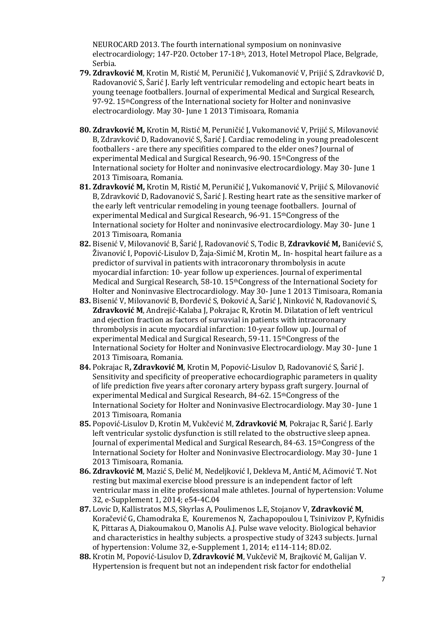NEUROCARD 2013. The fourth international symposium on noninvasive electrocardiology; 147-P20. October 17-18th, 2013, Hotel Metropol Place, Belgrade, Serbia.

- **79. Zdravković M**, Krotin M, Ristić M, Peruničić J, Vukomanović V, Prijić S, Zdravković D, Radovanović S, Šarić J. Early left ventricular remodeling and ectopic heart beats in young teenage footballers. Journal of experimental Medical and Surgical Research, 97-92. 15thCongress of the International society for Holter and noninvasive electrocardiology. May 30- June 1 2013 Timisoara, Romania
- **80. Zdravković M,** Krotin M, Ristić M, Peruničić J, Vukomanović V, Prijić S, Milovanović B, Zdravković D, Radovanović S, Šarić J. Cardiac remodeling in young preadolescent footballers - are there any specifities compared to the elder ones? Journal of experimental Medical and Surgical Research, 96-90. 15thCongress of the International society for Holter and noninvasive electrocardiology. May 30- June 1 2013 Timisoara, Romania.
- **81. Zdravković M,** Krotin M, Ristić M, Peruničić J, Vukomanović V, Prijić S, Milovanović B, Zdravković D, Radovanović S, Šarić J. Resting heart rate as the sensitive marker of the early left ventricular remodeling in young teenage footballers. Journal of experimental Medical and Surgical Research, 96-91. 15thCongress of the International society for Holter and noninvasive electrocardiology. May 30- June 1 2013 Timisoara, Romania
- **82.** Bisenić V, Milovanović B, Šarić J, Radovanović S, Todic B, **Zdravković M,** Banićević S, Živanović I, Popović-Lisulov D, Žaja-Simić M, Krotin M,. In- hospital heart failure as a predictor of survival in patients with intracoronary thrombolysis in acute myocardial infarction: 10- year follow up experiences. Journal of experimental Medical and Surgical Research, 58-10. 15<sup>th</sup>Congress of the International Society for Holter and Noninvasive Electrocardiology. May 30- June 1 2013 Timisoara, Romania
- **83.** Bisenić V, Milovanović B, Đorđević S, Đoković A, Šarić J, Ninković N, Radovanović S, **Zdravković M**, Andrejić-Kalaba J, Pokrajac R, Krotin M. Dilatation of left ventricul and ejection fraction as factors of survavial in patients with intracoronary thrombolysis in acute myocardial infarction: 10-year follow up. Journal of experimental Medical and Surgical Research, 59-11. 15thCongress of the International Society for Holter and Noninvasive Electrocardiology. May 30- June 1 2013 Timisoara, Romania.
- **84.** Pokrajac R**, Zdravković M**, Krotin M, Popović-Lisulov D, Radovanović S, Šarić J. Sensitivity and specificity of preoperative echocardiographic parameters in quality of life prediction five years after coronary artery bypass graft surgery. Journal of experimental Medical and Surgical Research, 84-62. 15thCongress of the International Society for Holter and Noninvasive Electrocardiology. May 30- June 1 2013 Timisoara, Romania
- **85.** Popović-Lisulov D, Krotin M, Vukčević M, **Zdravković M**, Pokrajac R, Šarić J. Early left ventricular systolic dysfunction is still related to the obstructive sleep apnea. Journal of experimental Medical and Surgical Research, 84-63. 15<sup>th</sup>Congress of the International Society for Holter and Noninvasive Electrocardiology. May 30- June 1 2013 Timisoara, Romania.
- **86. Zdravković M**, Mazić S, Đelić M, Nedeljković I, Dekleva M, Antić M, Aćimović T. Not resting but maximal exercise blood pressure is an independent factor of left ventricular mass in elite professional male athletes. Journal of hypertension: Volume 32, e-Supplement 1, 2014; e54-4C.04
- **87.** Lovic D, Kallistratos M.S, Skyrlas A, Poulimenos L.E, Stojanov V, **Zdravković M**, Koračević G, Chamodraka E, Kouremenos N, Zachapopoulou I, Tsinivizov P, Kyfnidis K, Pittaras A, Diakoumakou O, Manolis A.J. Pulse wave velocity. Biological behavior and characteristics in healthy subjects. a prospective study of 3243 subjects. Jurnal of hypertension: Volume 32, e-Supplement 1, 2014; e114-114; 8D.02.
- **88.** Krotin M, Popović-Lisulov D, **Zdravković M**, Vukčevič M, Brajković M, Galijan V. Hypertension is frequent but not an independent risk factor for endothelial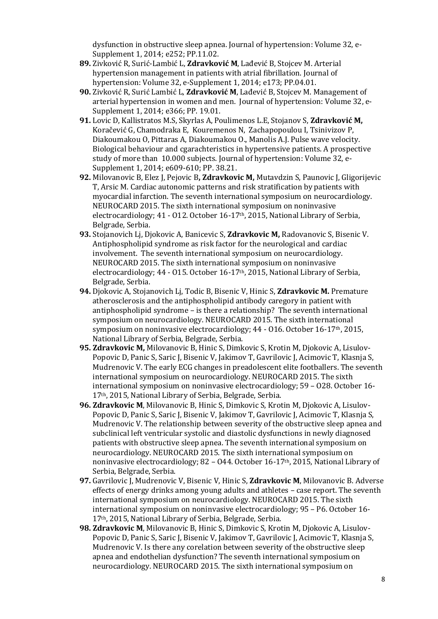dysfunction in obstructive sleep apnea. Journal of hypertension: Volume 32, e-Supplement 1, 2014; e252; PP.11.02.

- **89.** Zivković R, Surić-Lambić L, **Zdravković M**, Lađević B, Stojcev M. Arterial hypertension management in patients with atrial fibrillation. Journal of hypertension: Volume 32, e-Supplement 1, 2014; e173; PP.04.01.
- **90.** Zivković R, Surić Lambić L, **Zdravković M**, Lađević B, Stojcev M. Management of arterial hypertension in women and men. Journal of hypertension: Volume 32, e-Supplement 1, 2014; e366; PP. 19.01.
- **91.** Lovic D, Kallistratos M.S, Skyrlas A, Poulimenos L.E, Stojanov S, **Zdravković M,** Koračević G, Chamodraka E, Kouremenos N, Zachapopoulou I, Tsinivizov P, Diakoumakou O, Pittaras A, Diakoumakou O., Manolis A.J. Pulse wave velocity. Biological behaviour and cgarachteristics in hypertensive patients. A prospective study of more than 10.000 subjects. Journal of hypertension: Volume 32, e-Supplement 1, 2014; e609-610; PP. 38.21.
- **92.** Milovanovic B, Elez J, Pejovic B**, Zdravkovic M,** Mutavdzin S, Paunovic J, Gligorijevic T, Arsic M. Cardiac autonomic patterns and risk stratification by patients with myocardial infarction. The seventh international symposium on neurocardiology. NEUROCARD 2015. The sixth international symposium on noninvasive electrocardiology; 41 - O12. October 16-17th, 2015, National Library of Serbia, Belgrade, Serbia.
- **93.** Stojanovich Lj, Djokovic A, Banicevic S, **Zdravkovic M,** Radovanovic S, Bisenic V. Antiphospholipid syndrome as risk factor for the neurological and cardiac involvement. The seventh international symposium on neurocardiology. NEUROCARD 2015. The sixth international symposium on noninvasive electrocardiology;  $44 - 015$ . October  $16-17$ <sup>th</sup>, 2015, National Library of Serbia, Belgrade, Serbia.
- **94.** Djokovic A, Stojanovich Lj, Todic B, Bisenic V, Hinic S, **Zdravkovic M.** Premature atherosclerosis and the antiphospholipid antibody caregory in patient with antiphospholipid syndrome – is there a relationship? The seventh international symposium on neurocardiology. NEUROCARD 2015. The sixth international symposium on noninvasive electrocardiology; 44 - O16. October 16-17th, 2015, National Library of Serbia, Belgrade, Serbia.
- **95. Zdravkovic M,** Milovanovic B, Hinic S, Dimkovic S, Krotin M, Djokovic A, Lisulov-Popovic D, Panic S, Saric J, Bisenic V, Jakimov T, Gavrilovic J, Acimovic T, Klasnja S, Mudrenovic V. The early ECG changes in preadolescent elite footballers. The seventh international symposium on neurocardiology. NEUROCARD 2015. The sixth international symposium on noninvasive electrocardiology; 59 – O28. October 16- 17th, 2015, National Library of Serbia, Belgrade, Serbia.
- **96. Zdravkovic M**, Milovanovic B, Hinic S, Dimkovic S, Krotin M, Djokovic A, Lisulov-Popovic D, Panic S, Saric J, Bisenic V, Jakimov T, Gavrilovic J, Acimovic T, Klasnja S, Mudrenovic V. The relationship between severity of the obstructive sleep apnea and subclinical left ventricular systolic and diastolic dysfunctions in newly diagnosed patients with obstructive sleep apnea. The seventh international symposium on neurocardiology. NEUROCARD 2015. The sixth international symposium on noninvasive electrocardiology; 82 - 044. October 16-17<sup>th</sup>, 2015, National Library of Serbia, Belgrade, Serbia.
- **97.** Gavrilovic J, Mudrenovic V, Bisenic V, Hinic S, **Zdravkovic M**, Milovanovic B. Adverse effects of energy drinks among young adults and athletes – case report. The seventh international symposium on neurocardiology. NEUROCARD 2015. The sixth international symposium on noninvasive electrocardiology; 95 – P6. October 16- 17th, 2015, National Library of Serbia, Belgrade, Serbia.
- **98. Zdravkovic M**, Milovanovic B, Hinic S, Dimkovic S, Krotin M, Djokovic A, Lisulov-Popovic D, Panic S, Saric J, Bisenic V, Jakimov T, Gavrilovic J, Acimovic T, Klasnja S, Mudrenovic V. Is there any corelation between severity of the obstructive sleep apnea and endothelian dysfunction? The seventh international symposium on neurocardiology. NEUROCARD 2015. The sixth international symposium on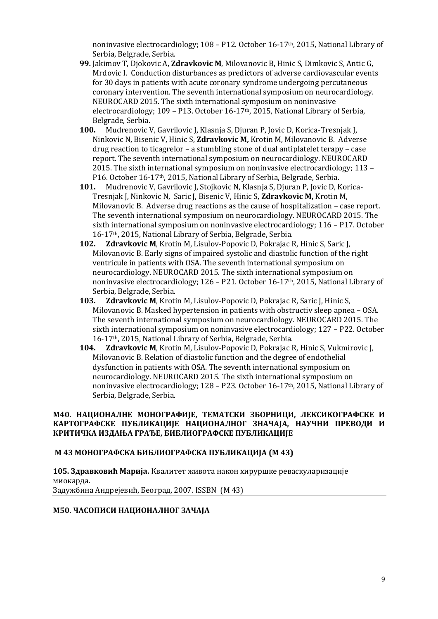noninvasive electrocardiology; 108 – P12. October 16-17th, 2015, National Library of Serbia, Belgrade, Serbia.

- **99.** Jakimov T, Djokovic A, **Zdravkovic M**, Milovanovic B, Hinic S, Dimkovic S, Antic G, Mrdovic I. Conduction disturbances as predictors of adverse cardiovascular events for 30 days in patients with acute coronary syndrome undergoing percutaneous coronary intervention. The seventh international symposium on neurocardiology. NEUROCARD 2015. The sixth international symposium on noninvasive electrocardiology; 109 – P13. October 16-17th, 2015, National Library of Serbia, Belgrade, Serbia.
- **100.** Mudrenovic V, Gavrilovic J, Klasnja S, Djuran P, Jovic D, Korica-Tresnjak J, Ninkovic N, Bisenic V, Hinic S, **Zdravkovic M,** Krotin M, Milovanovic B. Adverse drug reaction to ticagrelor – a stumbling stone of dual antiplatelet terapy – case report. The seventh international symposium on neurocardiology. NEUROCARD 2015. The sixth international symposium on noninvasive electrocardiology; 113 – P16. October 16-17th, 2015, National Library of Serbia, Belgrade, Serbia.
- **101.** Mudrenovic V, Gavrilovic J, Stojkovic N, Klasnja S, Djuran P, Jovic D, Korica-Tresnjak J, Ninkovic N, Saric J, Bisenic V, Hinic S, **Zdravkovic M,** Krotin M, Milovanovic B. Adverse drug reactions as the cause of hospitalization – case report. The seventh international symposium on neurocardiology. NEUROCARD 2015. The sixth international symposium on noninvasive electrocardiology; 116 – P17. October 16-17th, 2015, National Library of Serbia, Belgrade, Serbia.
- **102. Zdravkovic M**, Krotin M, Lisulov-Popovic D, Pokrajac R, Hinic S, Saric J, Milovanovic B. Early signs of impaired systolic and diastolic function of the right ventricule in patients with OSA. The seventh international symposium on neurocardiology. NEUROCARD 2015. The sixth international symposium on noninvasive electrocardiology; 126 – P21. October 16-17th, 2015, National Library of Serbia, Belgrade, Serbia.
- **103. Zdravkovic M**, Krotin M, Lisulov-Popovic D, Pokrajac R, Saric J, Hinic S, Milovanovic B. Masked hypertension in patients with obstructiv sleep apnea – OSA. The seventh international symposium on neurocardiology. NEUROCARD 2015. The sixth international symposium on noninvasive electrocardiology; 127 – P22. October 16-17th, 2015, National Library of Serbia, Belgrade, Serbia.
- **104. Zdravkovic M**, Krotin M, Lisulov-Popovic D, Pokrajac R, Hinic S, Vukmirovic J, Milovanovic B. Relation of diastolic function and the degree of endothelial dysfunction in patients with OSA. The seventh international symposium on neurocardiology. NEUROCARD 2015. The sixth international symposium on noninvasive electrocardiology; 128 – P23. October 16-17th, 2015, National Library of Serbia, Belgrade, Serbia.

### **М40. НАЦИОНАЛНЕ МОНОГРАФИЈЕ, ТЕМАТСКИ ЗБОРНИЦИ, ЛЕКСИКОГРАФСКЕ И КАРТОГРАФСКЕ ПУБЛИКАЦИЈЕ НАЦИОНАЛНОГ ЗНАЧАЈА, НАУЧНИ ПРЕВОДИ И КРИТИЧКА ИЗДАЊА ГРАЂЕ, БИБЛИОГРАФСКЕ ПУБЛИКАЦИЈЕ**

#### **M 43 МОНОГРАФСКА БИБЛИОГРАФСКА ПУБЛИКАЦИЈА (М 43)**

**105. Здравковић Марија.** Квалитет живота након хируршке реваскуларизације миокарда. Задужбина Андрејевић, Београд, 2007. ISSBN (М 43)

#### **М50. ЧАСОПИСИ НАЦИОНАЛНОГ ЗАЧАЈА**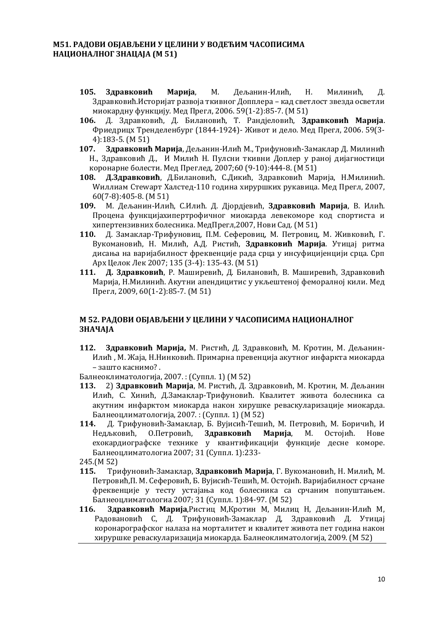### **М51. РАДОВИ ОБЈАВЉЕНИ У ЦЕЛИНИ У ВОДЕЋИМ ЧАСОПИСИМА НАЦИОНАЛНОГ ЗНАЦАЈА (М 51)**

- **105. Здравковић Марија**, М. Дељанин-Илић, Н. Милинић, Д. Здравковић.Историјат развоја ткивног Допплера – кад светлост звезда осветли миокардну функцију. Мед Прегл, 2006. 59(1-2):85-7. (М 51)
- **106.** Д. Здравковић, Д. Билановић, Т. Рандјеловић, **Здравковић Марија**. Фриедрицх Тренделенбург (1844-1924)- Живот и дело. Мед Прегл, 2006. 59(3- 4):183-5. (М 51)
- **107. Здравковић Марија**, Дељанин-Илић М., Трифуновић-Замаклар Д. Милинић Н., Здравковић Д., И Милић Н. Пулсни ткивни Доплер у раној дијагностици коронарне болести. Мед Преглед, 2007;60 (9-10):444-8. (М 51)
- **108. Д.Здравковић**, Д.Билановић, С.Дикић, Здравковић Марија, Н.Милинић. Wиллиам Стеwарт Халстед-110 година хируршких рукавица. Мед Прегл, 2007, 60(7-8):405-8. (М 51)
- **109.** М. Дељанин-Илић, С.Илић. Д. Дјордјевић, **Здравковић Марија**, В. Илић. Процена функцијахипертрофичног миокарда левекоморе код спортиста и хипертензивних болесника. МедПрегл,2007, Нови Сад. (М 51)
- **110.** Д. Замаклар-Трифуновиц, П.М. Сеферовиц, М. Петровиц, М. Живковић, Г. Вукомановић, Н. Милић, А.Д. Ристић, **Здравковић Марија**. Утицај ритма дисања на варијабилност фреквенције рада срца у инсуфицијенцији срца. Срп Арх Целок Лек 2007; 135 (3-4): 135-43. (М 51)
- **111. Д. Здравковић**, Р. Маширевић, Д. Билановић, В. Маширевић, Здравковић Марија, Н.Милинић. Акутни апендицитис у укљештеној феморалној кили. Мед Прегл, 2009, 60(1-2):85-7. (М 51)

## **М 52. РАДОВИ ОБЈАВЉЕНИ У ЦЕЛИНИ У ЧАСОПИСИМА НАЦИОНАЛНОГ ЗНАЧАЈА**

**112. Здравковић Марија,** М. Ристић, Д. Здравковић, М. Кротин, М. Дељанин-Илић , М. Жаја, Н.Нинковић. Примарна превенција акутног инфаркта миокарда – зашто каснимо? .

Балнеоклиматологија, 2007. : (Суппл. 1) (М 52)

- **113.** 2) **Здравковић Марија**, М. Ристић, Д. Здравковић, М. Кротин, М. Дељанин Илић, С. Хинић, Д.Замаклар-Трифуновић. Квалитет живота болесника са акутним инфарктом миокарда након хирушке реваскуларизације миокарда. Балнеоцлиматологија, 2007. : (Суппл. 1) (М 52)
- **114.** Д. Трифуновић-Замаклар, Б. Вујисић-Тешић, М. Петровић, М. Боричић, И Недљковић, О.Петровић, **Здравковић Марија**, М. Остојић. Нове ехокардиографске технике у квантификацији функције десне коморе. Балнеоцлиматологиа 2007; 31 (Суппл. 1):233-

245.(М 52)

- **115.** Трифуновић-Замаклар, **Здравковић Марија**, Г. Вукомановић, Н. Милић, М. Петровић,П. М. Сеферовић, Б. Вујисић-Тешић, М. Остојић. Варијабилност срчане фреквенције у тесту устајања код болесника са срчаним попуштањем. Балнеоцлиматологиа 2007; 31 (Суппл. 1):84-97. (М 52)
- **116. Здравковић Марија**,Ристиц М,Кротин М, Милиц Н, Дељанин-Илић М, Радовановић С, Д. Трифуновић-Замаклар Д, Здравковић Д. Утицај коронарографског налаза на морталитет и квалитет живота пет година након хируршке реваскуларизација миокарда. Балнеоклиматологија, 2009. (М 52)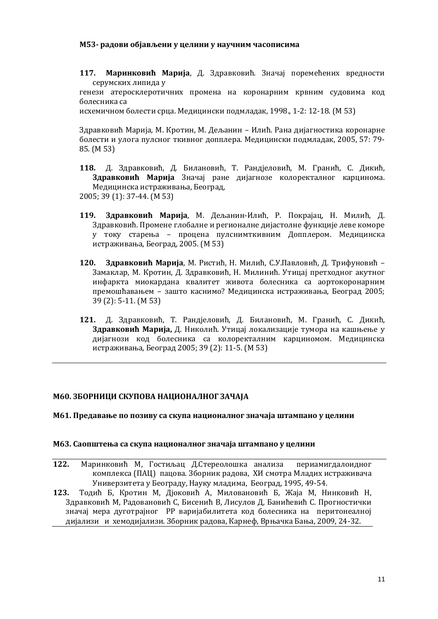#### **М53- радови објављени у целини у научним часописима**

**117. Маринковић Марија**, Д. Здравковић. Значај поремећених вредности серумских липида у

генези атеросклеротичних промена на коронарним крвним судовима код болесника са

исхемичном болести срца. Медицински подмладак, 1998., 1-2: 12-18. (М 53)

Здравковић Марија, М. Кротин, М. Дељанин – Илић. Рана дијагностика коронарне болести и улога пулсног ткивног допплера. Медицински подмладак, 2005, 57: 79- 85. (М 53)

- **118.** Д. Здравковић, Д. Билановић, Т. Рандјеловић, М. Гранић, С. Дикић, **Здравковић Марија** Значај ране дијагнозе колоректалног карцинома. Медицинска истраживања, Београд, 2005; 39 (1): 37-44. (М 53)
- **119. Здравковић Марија**, М. Дељанин-Илић, Р. Покрајац, Н. Милић, Д. Здравковић. Промене глобалне и регионалне дијастолне функције леве коморе у току старења – процена пулснимткивним Допплером. Медицинска истраживања, Београд, 2005. (М 53)
- **120. Здравковић Марија**, М. Ристић, Н. Милић, С.У.Павловић, Д. Трифуновић Замаклар, М. Кротин, Д. Здравковић, Н. Милинић. Утицај претходног акутног инфаркта миокардана квалитет живота болесника са аортокоронарним премошћавањем – зашто каснимо? Медицинска истраживања, Београд 2005; 39 (2): 5-11. (М 53)
- **121.** Д. Здравковић, Т. Рандјеловић, Д. Билановић, М. Гранић, С. Дикић, **Здравковић Марија,** Д. Николић. Утицај локализације тумора на кашњење у дијагнози код болесника са колоректалним карциномом. Медицинска истраживања, Београд 2005; 39 (2): 11-5. (М 53)

#### **М60. ЗБОРНИЦИ СКУПОВА НАЦИОНАЛНОГ ЗАЧАЈА**

#### **М61. Предавање по позиву са скупа националног значаја штампано у целини**

#### **М63. Саопштења са скупа националног значаја штампано у целини**

- **122.** Маринковић М, Гостиљац Д.Стереолошка анализа периамигдалоидног комплекса (ПАЦ) пацова. Зборник радова, XИ смотра Младих истраживача Универзитета у Београду, Науку младима, Београд, 1995, 49-54.
- **123.** Тодић Б, Кротин М, Дјоковић А, Миловановић Б, Жаја М, Нинковић Н, Здравковић М, Радовановић С, Бисенић В, Лисулов Д, Банићевић С. Прогностички значај мера дуготрајног РР варијабилитета код болесника на перитонеалној дијализи и хемодијализи. Зборник радова, Карнеф, Врњачка Бања, 2009, 24-32.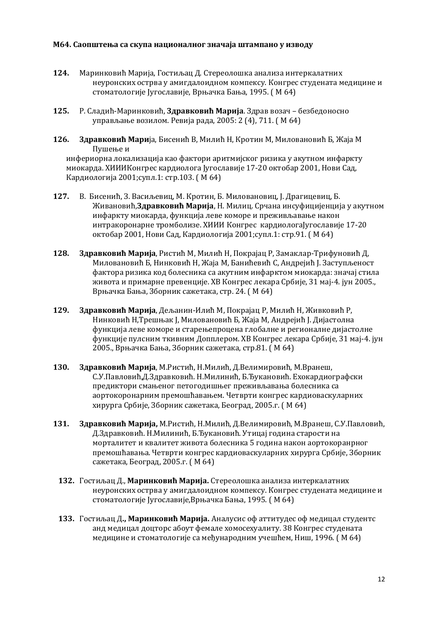#### **М64. Саопштења са скупа националног значаја штампано у изводу**

- **124.** Маринковић Марија, Гостиљац Д. Стереолошка анализа интеркалатних неуронских острва у амигдалоидном компексу. Конгрес студената медицине и стоматологије Југославије, Врњачка Бања, 1995. ( М 64)
- **125.** Р. Сладић-Маринковић, **Здравковић Марија**. Здрав возач безбедоносно управљање возилом. Ревија рада, 2005: 2 (4), 711. ( М 64)
- **126. Здравковић Мари**ја, Бисенић В, Милић Н, Кротин М, Миловановић Б, Жаја М Пушење и инфериорна локализација као фактори аритмијског ризика у акутном инфаркту миокарда. XИИИКонгрес кардиолога Југославије 17-20 октобар 2001, Нови Сад, Кардиологија 2001;супл.1: стр.103. ( М 64)
- **127.** В. Бисенић, З. Васиљевиц, М. Кротин, Б. Миловановиц, Ј. Драгицевиц, Б. Живановић,**Здравковић Марија**, Н. Милиц. Срчана инсуфицијенција у акутном инфаркту миокарда, функција леве коморе и преживљавање након интракоронарне тромболизе. XИИИ Конгрес кардиологаЈугославије 17-20 октобар 2001, Нови Сад, Кардиологија 2001;супл.1: стр.91. ( М 64)
- **128. Здравковић Марија**, Ристић М, Милић Н, Покрајац Р, Замаклар-Трифуновић Д, Миловановић Б, Нинковић Н, Жаја М, Банићевић С, Андрејић Ј. Заступљеност фактора ризика код болесника са акутним инфарктом миокарда: значај стила живота и примарне превенције. XВ Конгрес лекара Србије, 31 мај-4. јун 2005., Врњачка Бања, Зборник сажетака, стр. 24. ( М 64)
- **129. Здравковић Марија**, Дељанин-Илић М, Покрајац Р, Милић Н, Живковић Р, Нинковић Н,Трешњак Ј, Миловановић Б, Жаја М, Андрејић Ј. Дијастолна функција леве коморе и старењепроцена глобалне и регионалне дијастолне функције пулсним ткивним Допплером. XВ Конгрес лекара Србије, 31 мај-4. јун 2005., Врњачка Бања, Зборник сажетака, стр.81. ( М 64)
- **130. Здравковић Марија**, М.Ристић, Н.Милић, Д.Велимировић, М.Вранеш, С.У.Павловић,Д.Здравковић. Н.Милинић, Б.Ђукановић. Ехокардиографски предиктори смањеног петогодишњег преживљавања болесника са аортокоронарним премошћавањем. Четврти конгрес кардиоваскуларних хирурга Србије, Зборник сажетака, Београд, 2005.г. ( М 64)
- **131. Здравковић Марија,** М.Ристић, Н.Милић, Д.Велимировић, М.Вранеш, С.У.Павловић, Д.Здравковић. Н.Милинић, Б.Ђукановић. Утицај година старости на морталитет и квалитет живота болесника 5 година након аортокоранрног премошћавања. Четврти конгрес кардиоваскуларних хирурга Србије, Зборник сажетака, Београд, 2005.г. ( М 64)
	- **132.** Гостиљац Д., **Маринковић Марија.** Стереолошка анализа интеркалатних неуронских острва у амигдалоидном компексу. Конгрес студената медицине и стоматологије Југославије,Врњачка Бања, 1995. ( М 64)
	- **133.** Гостиљац Д**., Маринковић Марија.** Аналyсис оф аттитудес оф медицал студентс анд медицал доцторс абоут фемале хомосеxуалитy. 38 Конгрес студената медицине и стоматологије са међународним учешћем, Ниш, 1996. ( М 64)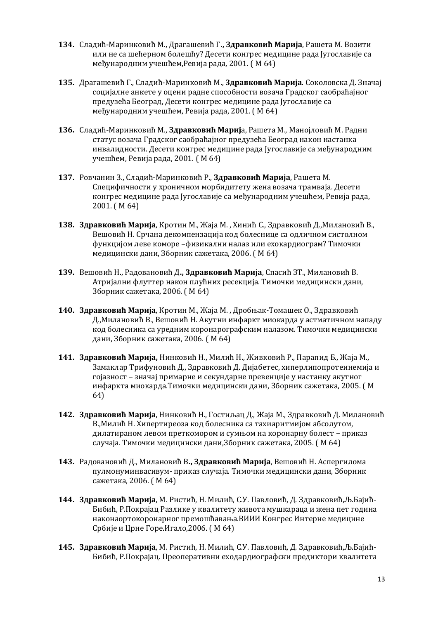- **134.** Сладић-Маринковић М., Драгашевић Г**., Здравковић Марија**, Рашета М. Возити или не са шећерном болешћу? Десети конгрес медицине рада Југославије са међународним учешћем,Ревија рада, 2001. ( М 64)
- **135.** Драгашевић Г., Сладић-Маринковић М., **Здравковић Марија**. Соколовска Д. Значај социјалне анкете у оцени радне способности возача Градског саобраћајног предузећа Београд, Десети конгрес медицине рада Југославије са међународним учешћем, Ревија рада, 2001. ( М 64)
- **136.** Сладић-Маринковић М., **Здравковић Мариј**а, Рашета М., Манојловић М. Радни статус возача Градског саобраћајног предузећа Београд након настанка инвалидности. Десети конгрес медицине рада Југославије са међународним учешћем, Ревија рада, 2001. ( М 64)
- **137.** Ровчанин З., Сладић-Маринковић Р., **Здравковић Марија**, Рашета М. Специфичности у хроничном морбидитету жена возача трамваја. Десети конгрес медицине рада Југославије са међународним учешћем, Ревија рада, 2001. ( М 64)
- **138. Здравковић Марија**, Кротин М., Жаја М. , Хинић С., Здравковић Д.,Милановић В., Вешовић Н. Срчана декомпензација код болеснице са одличном систолном функцијом леве коморе –физикални налаз или ехокардиограм? Тимочки медицински дани, Зборник сажетака, 2006. ( М 64)
- **139.** Вешовић Н., Радовановић Д**., Здравковић Марија**, Спасић ЗТ., Милановић В. Атријални флуттер након плућних ресекција. Тимочки медицински дани, Зборник сажетака, 2006. ( М 64)
- **140. Здравковић Марија**, Кротин М., Жаја М. , Дробњак-Томашек О., Здравковић Д.,Милановић В., Вешовић Н. Акутни инфаркт миокарда у астматичном нападу код болесника са уредним коронарографским налазом. Тимочки медицински дани, Зборник сажетака, 2006. ( М 64)
- **141. Здравковић Марија,** Нинковић Н., Милић Н., Живковић Р., Парапид Б., Жаја М., Замаклар Трифуновић Д., Здравковић Д. Дијабетес, хиперлипопротеинемија и гојазност – значај примарне и секундарне превенције у настанку акутног инфаркта миокарда.Тимочки медицински дани, Зборник сажетака, 2005. ( М 64)
- **142. Здравковић Марија**, Нинковић Н., Гостиљац Д., Жаја М., Здравковић Д. Милановић В.,Милић Н. Хипертиреоза код болесника са тахиаритмијом абсолутом, дилатираном левом преткомором и сумњом на коронарну болест – приказ случаја. Тимочки медицински дани,Зборник сажетака, 2005. ( М 64)
- **143.** Радовановић Д., Милановић В**., Здравковић Марија**, Вешовић Н. Аспергилома пулмонуминвасивум- приказ случаја. Тимочки медицински дани, Зборник сажетака, 2006. ( М 64)
- **144. Здравковић Марија**, М. Ристић, Н. Милић, С.У. Павловић, Д. Здравковић,Љ.Бајић-Бибић, Р.Покрајац Разлике у квалитету живота мушкараца и жена пет година наконаортокоронарног премошћавања.ВИИИ Конгрес Интерне медицине Србије и Црне Горе.Игало,2006. ( М 64)
- **145. Здравковић Марија**, М. Ристић, Н. Милић, С.У. Павловић, Д. Здравковић,Љ.Бајић-Бибић, Р.Покрајац. Преоперативни еходардиографски предиктори квалитета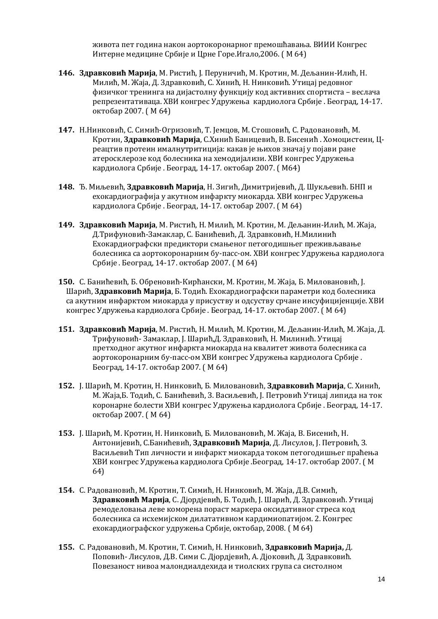живота пет година након аортокоронарног премошћавања. ВИИИ Конгрес Интерне медицине Србије и Црне Горе.Игало,2006. ( М 64)

- **146. Здравковић Марија**, М. Ристић, Ј. Перуничић, М. Кротин, М. Дељанин-Илић, Н. Милић, М. Жаја, Д. Здравковић, С. Хинић, Н. Нинковић. Утицај редовног физичког тренинга на дијастолну функцију код активних спортиста – веслача репрезентативаца. XВИ конгрес Удружења кардиолога Србије . Београд, 14-17. октобар 2007. ( М 64)
- **147.** Н.Нинковић, С. Симић-Огризовић, Т. Јемцов, М. Стошовић, С. Радовановић, М. Кротин, **Здравковић Марија**, С.Хинић Баницевић, В. Бисенић . Хомоцистеин, Цреацтив протеин ималнутритиција: какав је њихов значај у појави ране атеросклерозе код болесника на хемодијализи. XВИ конгрес Удружења кардиолога Србије . Београд, 14-17. октобар 2007. ( М64)
- **148.** Ђ. Миљевић, **Здравковић Марија**, Н. Зигић, Димитријевић, Д. Шукљевић. БНП и ехокардиографија у акутном инфаркту миокарда. XВИ конгрес Удружења кардиолога Србије . Београд, 14-17. октобар 2007. ( М 64)
- **149. Здравковић Марија**, М. Ристић, Н. Милић, М. Кротин, М. Дељанин-Илић, М. Жаја, Д.Трифуновић-Замаклар, С. Банићевић, Д. Здравковић, Н.Милинић Ехокардиографски предиктори смањеног петогодишњег преживљавање болесника са аортокоронарним бy-пасс-ом. XВИ конгрес Удружења кардиолога Србије . Београд, 14-17. октобар 2007. ( М 64)
- **150.** С. Банићевић, Б. Обреновић-Кирћански, М. Кротин, М. Жаја, Б. Миловановић, Ј. Шарић, **Здравковић Марија**, Б. Тодић. Ехокардиографски параметри код болесника са акутним инфарктом миокарда у присуству и одсуству срчане инсуфицијенције. XВИ конгрес Удружења кардиолога Србије . Београд, 14-17. октобар 2007. ( М 64)
- **151. Здравковић Марија**, М. Ристић, Н. Милић, М. Кротин, М. Дељанин-Илић, М. Жаја, Д. Трифуновић- Замаклар, Ј. Шарић,Д. Здравковић, Н. Милинић. Утицај претходног акутног инфаркта миокарда на квалитет живота болесника са аортокоронарним бy-пасс-ом XВИ конгрес Удружења кардиолога Србије . Београд, 14-17. октобар 2007. ( М 64)
- **152.** Ј. Шарић, М. Кротин, Н. Нинковић, Б. Миловановић, **Здравковић Марија**, С. Хинић, М. Жаја,Б. Тодић, С. Банићевић, З. Васиљевић, Ј. Петровић Утицај липида на ток коронарне болести XВИ конгрес Удружења кардиолога Србије . Београд, 14-17. октобар 2007. ( М 64)
- **153.** Ј. Шарић, М. Кротин, Н. Нинковић, Б. Миловановић, М. Жаја, В. Бисенић, Н. Антонијевић, С.Банићевић, **Здравковић Марија**, Д. Лисулов, Ј. Петровић, З. Васиљевић Тип личности и инфаркт миокарда током петогодишњег праћења XВИ конгрес Удружења кардиолога Србије .Београд, 14-17. октобар 2007. ( М 64)
- **154.** С. Радовановић, М. Кротин, Т. Симић, Н. Нинковић, М. Жаја, Д.В. Симић, **Здравковић Марија**, С. Дјордјевић, Б. Тодић, Ј. Шарић, Д. Здравковић. Утицај ремоделовања леве коморена пораст маркера оксидативног стреса код болесника са исхемијском дилатативном кардимиопатијом. 2. Конгрес ехокардиографског удружења Србије, октобар, 2008. ( М 64)
- **155.** С. Радовановић, М. Кротин, Т. Симић, Н. Нинковић, **Здравковић Марија,** Д. Поповић- Лисулов, Д.В. Сими С. Дјордјевић, А. Дјоковић, Д. Здравковић. Повезаност нивоа малондиалдехида и тиолских група са систолном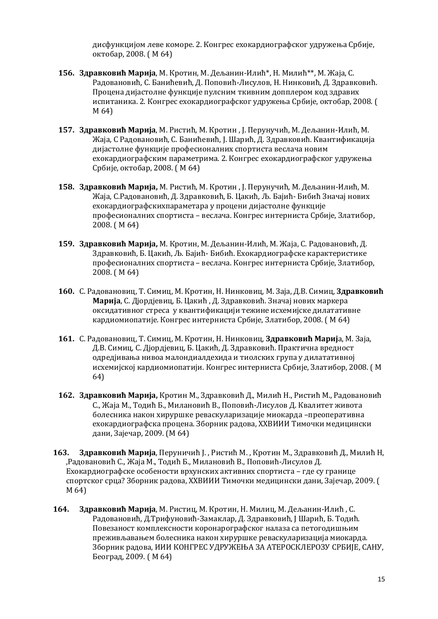дисфункцијом леве коморе. 2. Конгрес ехокардиографског удружења Србије, октобар, 2008. ( М 64)

- **156. Здравковић Марија**, М. Кротин, М. Дељанин-Илић\*, Н. Милић\*\*, М. Жаја, С. Радовановић, С. Банићевић, Д. Поповић-Лисулов, Н. Нинковић, Д. Здравковић. Процена дијастолне функције пулсним ткивним допплером код здравих испитаника. 2. Конгрес ехокардиографског удружења Србије, октобар, 2008. ( М 64)
- **157. Здравковић Марија**, М. Ристић, М. Кротин , Ј. Перунучић, М. Дељанин-Илић, М. Жаја, С Радовановић, С. Банићевић, Ј. Шарић, Д. Здравковић. Квантификација дијастолне функције професионалних спортиста веслача новим ехокардиографским параметрима. 2. Конгрес ехокардиографског удружења Србије, октобар, 2008. ( М 64)
- **158. Здравковић Марија,** М. Ристић, М. Кротин , Ј. Перунучић, М. Дељанин-Илић, М. Жаја, С.Радовановић, Д. Здравковић, Б. Цакић, Љ. Бајић- Бибић Значај нових ехокардиографскихпараметара у процени дијастолне функције професионалних спортиста – веслача. Конгрес интерниста Србије, Златибор, 2008. ( М 64)
- **159. Здравковић Марија,** М. Кротин, М. Дељанин-Илић, М. Жаја, С. Радовановић, Д. Здравковић, Б. Цакић, Љ. Бајић- Бибић. Ехокардиографске карактеристике професионалних спортиста – веслача. Конгрес интерниста Србије, Златибор, 2008. ( М 64)
- **160.** С. Радовановиц, Т. Симиц, М. Кротин, Н. Нинковиц, М. Заја, Д.В. Симиц, **Здравковић Марија**, С. Дјордјевиц, Б. Цакић , Д. Здравковић. Значај нових маркера оксидативног стреса у квантификацији тежине исхемијске дилатативне кардиомиопатије. Конгрес интерниста Србије, Златибор, 2008. ( М 64)
- **161.** С. Радовановиц, Т. Симиц, М. Кротин, Н. Нинковиц, **Здравковић Мариј**а, М. Заја, Д.В. Симиц, С. Дјордјевиц, Б. Цакић, Д. Здравковић. Практична вредност одредјивања нивоа малондиалдехида и тиолских група у дилатативној исхемијској кардиомиопатији. Конгрес интерниста Србије, Златибор, 2008. ( М 64)
- **162. Здравковић Марија,** Кротин М., Здравковић Д., Милић Н., Ристић М., Радовановић С., Жаја М., Тодић Б., Милановић В., Поповић-Лисулов Д. Квалитет живота болесника након хируршке реваскуларизације миокарда –преоперативна ехокардиографска процена. Зборник радова, XXВИИИ Тимочки медицински дани, Зајечар, 2009. (М 64)
- **163. Здравковић Марија**, Перуничић Ј. , Ристић М. , Кротин М., Здравковић Д., Милић Н, ,Радовановић С., Жаја М., Тодић Б., Милановић В., Поповић-Лисулов Д. Ехокардиографске особености врхунских активних спортиста – где су границе спортског срца? Зборник радова, XXВИИИ Тимочки медицински дани, Зајечар, 2009. ( М 64)
- **164. Здравковић Марија**, М. Ристиц, М. Кротин, Н. Милиц, М. Дељанин-Илић , С. Радовановић, Д.Трифуновић-Замаклар, Д. Здравковић, Ј Шарић, Б. Тодић. Повезаност комплексности коронарографског налаза са петогодишњим преживљавањем болесника након хируршке реваскуларизација миокарда. Зборник радова, ИИИ КОНГРЕС УДРУЖЕЊА ЗА АТЕРОСКЛЕРОЗУ СРБИЈЕ, САНУ, Београд, 2009. ( М 64)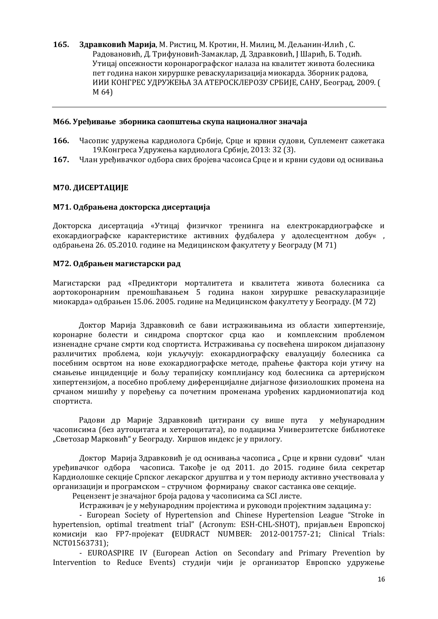**165. Здравковић Марија**, М. Ристиц, М. Кротин, Н. Милиц, М. Дељанин-Илић , С. Радовановић, Д. Трифуновић-Замаклар, Д. Здравковић, Ј Шарић, Б. Тодић. Утицај опсежности коронарографског налаза на квалитет живота болесника пет година након хируршке реваскуларизација миокарда. Зборник радова, ИИИ КОНГРЕС УДРУЖЕЊА ЗА АТЕРОСКЛЕРОЗУ СРБИЈЕ, САНУ, Београд, 2009. ( М 64)

#### **M66. Уређивање зборника саопштења скупа националног значаја**

- **166.** Часопис удружења кардиолога Србије, Срце и крвни судови, Суплемент сажетака 19.Конгреса Удружења кардиолога Србије, 2013: 32 (3).
- **167.** Члан уређивачког одбора свих бројева часоиса Срце и и крвни судови од оснивања

### **М70. ДИСЕРТАЦИЈЕ**

#### **М71. Одбрањена докторска дисертација**

Докторска дисертација «Утицај физичког тренинга на електрокардиографске и ехокардиографске карактеристике активних фудбалера у адолесцентном добу« , одбрањена 26. 05.2010. године на Медицинском факултету у Београду (М 71)

#### **М72. Одбрањен магистарски рад**

Магистарски рад «Предиктори морталитета и квалитета живота болесника са аортокоронарним премошћавањем 5 година након хируршке реваскуларазиције миокарда» одбрањен 15.06. 2005. године на Медицинском факултету у Београду. (М 72)

Доктор Марија Здравковић се бави истраживањима из области хипертензије, коронарне болести и синдрома спортског срца као и комплексним проблемом изненадне срчане смрти код спортиста. Истраживања су посвећена широком дијапазону различитих проблема, који укључују: ехокардиографску евалуацију болесника са посебним освртом на нове ехокардиографске методе, праћење фактора који утичу на смањење инциденције и бољу терапијску комплијансу код болесника са артеријском хипертензијом, а посебно проблему диференцијалне дијагнозе физиолошких промена на срчаном мишићу у поређењу са почетним променама урођених кардиомиопатија код спортиста.

Радови др Марије Здравковић цитирани су више пута у међународним часописима (без аутоцитата и хетероцитата), по подацима Универзитетске библиотеке "Светозар Марковић" у Београду. Хиршов индекс је у прилогу.

Доктор Марија Здравковић је од оснивања часописа "Срце и крвни судови" члан уређивачког одбора часописа. Такође је од 2011. до 2015. године била секретар Кардиолошке секције Српског лекарског друштва и у том периоду активно учествовала у организацији и програмском – стручном формирању сваког састанка ове секције.

Рецензент је значајног броја радова у часописима са SCI листе.

Истраживач је у међународним пројектима и руководи пројектним задацима у:

- European Society of Hypertension and Chinese Hypertension League "Stroke in hypertension, optimal treatment trial" (Acronym: ESH-CHL-SHOT), пријављен Европској комисији као FP7-пројекат **(**EUDRACT NUMBER: 2012-001757-21; Clinical Trials: NCT01563731);

- EUROASPIRE IV (European Action on Secondary and Primary Prevention by Intervention to Reduce Events) студији чији је организатор Европско удружење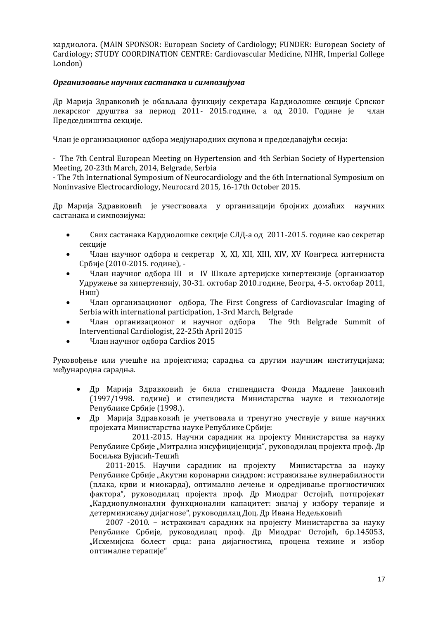кардиолога. (MAIN SPONSOR: European Society of Cardiology; FUNDER: European Society of Cardiology; STUDY COORDINATION CENTRE: Cardiovascular Medicine, NIHR, Imperial College London)

### *Организовање научних састанака и симпозијума*

Др Марија Здравковић је обављала функцију секретара Кардиолошке секције Српског лекарског друштва за период 2011- 2015.године, а од 2010. Године је члан Председништва секције.

Члан је организационог одбора медјународних скупова и председавајући сесија:

- The 7th Central European Meeting on Hypertension and 4th Serbian Society of Hypertension Meeting, 20-23th March, 2014, Belgrade, Serbia

- The 7th International Symposium of Neurocardiology and the 6th International Symposium on Noninvasive Electrocardiology, Neurocard 2015, 16-17th October 2015.

Др Марија Здравковић је учествовала у организацији бројних домаћих научних састанака и симпозијума:

- Свих састанака Кардиолошке секције СЛД-а од 2011-2015. године као секретар секције
- Члан научног одбора и секретар X, XI, XII, XIII, XIV, XV Конгреса интерниста Србије (2010-2015. године), -
- Члан научног одбора III и IV Школе артеријске хипертензије (организатор Удружење за хипертензију, 30-31. октобар 2010.године, Београ, 4-5. октобар 2011, Ниш)
- Члан организационог одбора, The First Congress of Cardiovascular Imaging of Serbia with international participation, 1-3rd March, Belgrade
- Члан организационог и научног одбора The 9th Belgrade Summit of Interventional Cardiologist, 22-25th April 2015
- Члан научног одбора Cardios 2015

Руковођење или учешће на пројектима; сарадња са другим научним институцијама; међународна сарадња.

- Др Марија Здравковић је била стипендиста Фонда Мадлене Јанковић (1997/1998. године) и стипендиста Министарства науке и технологије Републике Србије (1998.).
- Др Марија Здравковић је учетвовала и тренутно учествује у више научних пројеката Министарства науке Републике Србије:

2011-2015. Научни сарадник на пројекту Министарства за науку Републике Србије "Митрална инсуфицијенција", руководилац пројекта проф. Др Босиљка Вујисић-Тешић

2011-2015. Научни сарадник на пројекту Министарства за науку Републике Србије "Акутни коронарни синдром: истраживање вулнерабилности (плака, крви и миокарда), оптимално лечење и одредјивање прогностичких фактора", руководилац пројекта проф. Др Миодраг Остојић, потпројекат "Кардиопулмонални функционални капацитет: значај у избору терапије и детерминисању дијагнозе", руководилац Доц. Др Ивана Недељковић

2007 -2010. – истраживач сарадник на пројекту Министарства за науку Републике Србије, руководилац проф. Др Миодраг Остојић, бр.145053, "Исхемијска болест срца: рана дијагностика, процена тежине и избор оптималне терапије"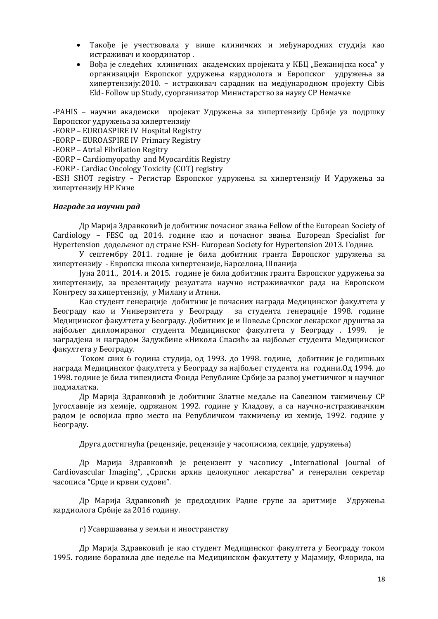- Такође је учествовала у више клиничких и међународних студија као истраживач и координатор .
- Вођа је следећих клиничких академских пројеката у КБЦ "Бежанијска коса" у организацији Европског удружења кардиолога и Европског удружења за хипертензију:2010. – истраживач сарадник на медјународном пројекту Cibis Eld- Follow up Study, суорганизатор Министарство за науку СР Немачке

-PAHIS – научни академски пројекат Удружења за хипертензију Србије уз подршку Европског удружења за хипертензију

-EORP – EUROASPIRE IV Hospital Registry

-EORP – EUROASPIRE IV Primary Registry

-EORP – Atrial Fibrilation Regitry

-EORP – Cardiomyopathy and Myocarditis Registry

-EORP - Cardiac Oncology Toxicity (COT) registry

-ESH SHOT registry – Регистар Европског удружења за хипертензију И Удружења за хипертензију НР Кине

#### *Награде за научни рад*

Др Марија Здравковић је добитник почасног звања Fellow of the European Society of Cardiology – FESC од 2014. године као и почасног звања European Specialist for Hypertension додељеног од стране ESH- European Society for Hypertension 2013. Године.

У септембру 2011. године је била добитник гранта Европског удружења за хипертензију - Европска школа хипертензије, Барселона, Шпанија

Јуна 2011., 2014. и 2015. године је била добитник гранта Европског удружења за хипертензију, за презентацију резултата научно истраживачког рада на Европском Конгресу за хипертензију, у Милану и Атини.

Као студент генерације добитник је почасних награда Медицинског факултета у Београду као и Универзитета у Београду за студента генерације 1998. године Медицинског факултета у Београду. Добитник је и Повеље Српског лекарског друштва за најбољег дипломираног студента Медицинског факултета у Београду . 1999. је наградјена и наградом Задужбине «Никола Спасић» за најбољег студента Медицинског факултета у Београду.

Током свих 6 година студија, од 1993. до 1998. године, добитник је годишњих награда Медицинског факултета у Београду за најбољег студента на години.Од 1994. до 1998. године је била типендиста Фонда Републике Србије за развој уметничког и научног подмалатка.

Др Марија Здравковић је добитник Златне медаље на Савезном такмичењу СР Југославије из хемије, одржаном 1992. године у Кладову, а са научно-истраживачким радом је освојила прво место на Републичком такмичењу из хемије, 1992. године у Београду.

Друга достигнућа (рецензије, рецензије у часописима, секције, удружења)

Др Марија  $3\mu$ равковић је рецензент у часопису "International Journal of Cardiovascular Imaging", "Српски архив целокупног лекарства" и генерални секретар часописа "Срце и крвни судови".

Др Марија Здравковић је председник Радне групе за аритмије Удружења кардиолога Србије za 2016 годину.

#### г) Усавршавања у земљи и иностранству

Др Марија Здравковић је као студент Медицинског факултета у Београду током 1995. године боравила две недеље на Медицинском факултету у Мајамију, Флорида, на